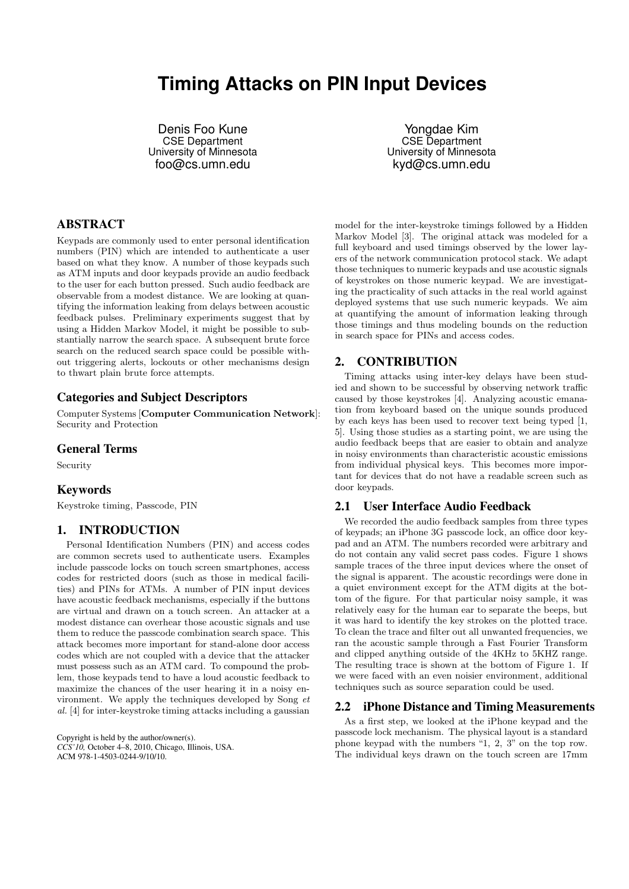# **Timing Attacks on PIN Input Devices**

Denis Foo Kune CSE Department University of Minnesota foo@cs.umn.edu

Yongdae Kim CSE Department University of Minnesota kyd@cs.umn.edu

# ABSTRACT

Keypads are commonly used to enter personal identification numbers (PIN) which are intended to authenticate a user based on what they know. A number of those keypads such as ATM inputs and door keypads provide an audio feedback to the user for each button pressed. Such audio feedback are observable from a modest distance. We are looking at quantifying the information leaking from delays between acoustic feedback pulses. Preliminary experiments suggest that by using a Hidden Markov Model, it might be possible to substantially narrow the search space. A subsequent brute force search on the reduced search space could be possible without triggering alerts, lockouts or other mechanisms design to thwart plain brute force attempts.

# Categories and Subject Descriptors

Computer Systems [Computer Communication Network]: Security and Protection

#### General Terms

Security

## Keywords

Keystroke timing, Passcode, PIN

## 1. INTRODUCTION

Personal Identification Numbers (PIN) and access codes are common secrets used to authenticate users. Examples include passcode locks on touch screen smartphones, access codes for restricted doors (such as those in medical facilities) and PINs for ATMs. A number of PIN input devices have acoustic feedback mechanisms, especially if the buttons are virtual and drawn on a touch screen. An attacker at a modest distance can overhear those acoustic signals and use them to reduce the passcode combination search space. This attack becomes more important for stand-alone door access codes which are not coupled with a device that the attacker must possess such as an ATM card. To compound the problem, those keypads tend to have a loud acoustic feedback to maximize the chances of the user hearing it in a noisy environment. We apply the techniques developed by Song *et al.* [4] for inter-keystroke timing attacks including a gaussian

Copyright is held by the author/owner(s). *CCS'10,* October 4–8, 2010, Chicago, Illinois, USA. ACM 978-1-4503-0244-9/10/10.

model for the inter-keystroke timings followed by a Hidden Markov Model [3]. The original attack was modeled for a full keyboard and used timings observed by the lower layers of the network communication protocol stack. We adapt those techniques to numeric keypads and use acoustic signals of keystrokes on those numeric keypad. We are investigating the practicality of such attacks in the real world against deployed systems that use such numeric keypads. We aim at quantifying the amount of information leaking through those timings and thus modeling bounds on the reduction in search space for PINs and access codes.

## 2. CONTRIBUTION

Timing attacks using inter-key delays have been studied and shown to be successful by observing network traffic caused by those keystrokes [4]. Analyzing acoustic emanation from keyboard based on the unique sounds produced by each keys has been used to recover text being typed [1, 5]. Using those studies as a starting point, we are using the audio feedback beeps that are easier to obtain and analyze in noisy environments than characteristic acoustic emissions from individual physical keys. This becomes more important for devices that do not have a readable screen such as door keypads.

## 2.1 User Interface Audio Feedback

We recorded the audio feedback samples from three types of keypads; an iPhone 3G passcode lock, an office door keypad and an ATM. The numbers recorded were arbitrary and do not contain any valid secret pass codes. Figure 1 shows sample traces of the three input devices where the onset of the signal is apparent. The acoustic recordings were done in a quiet environment except for the ATM digits at the bottom of the figure. For that particular noisy sample, it was relatively easy for the human ear to separate the beeps, but it was hard to identify the key strokes on the plotted trace. To clean the trace and filter out all unwanted frequencies, we ran the acoustic sample through a Fast Fourier Transform and clipped anything outside of the 4KHz to 5KHZ range. The resulting trace is shown at the bottom of Figure 1. If we were faced with an even noisier environment, additional techniques such as source separation could be used.

#### 2.2 iPhone Distance and Timing Measurements

As a first step, we looked at the iPhone keypad and the passcode lock mechanism. The physical layout is a standard phone keypad with the numbers "1, 2, 3" on the top row. The individual keys drawn on the touch screen are 17mm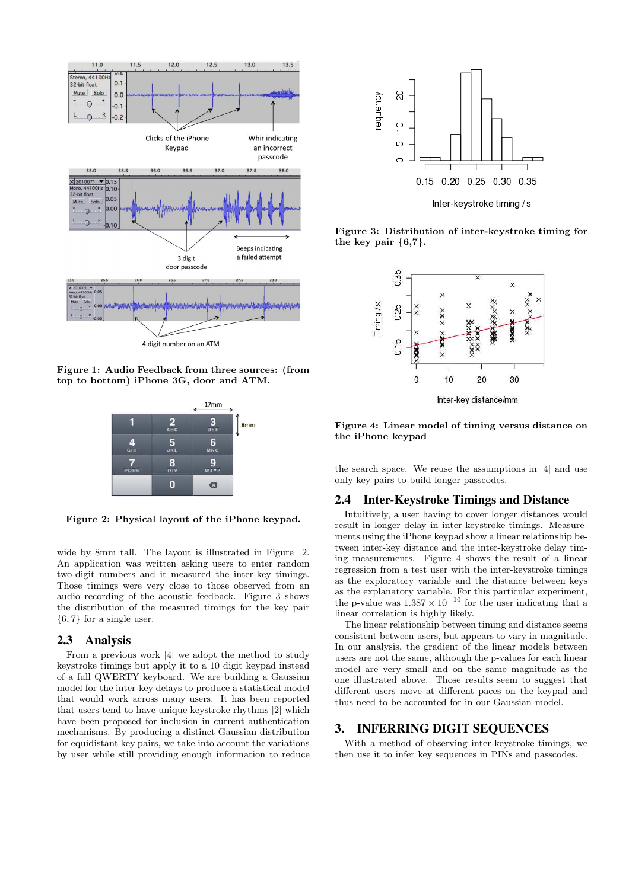

Figure 1: Audio Feedback from three sources: (from top to bottom) iPhone 3G, door and ATM.



Figure 2: Physical layout of the iPhone keypad.

wide by 8mm tall. The layout is illustrated in Figure 2. An application was written asking users to enter random two-digit numbers and it measured the inter-key timings. Those timings were very close to those observed from an audio recording of the acoustic feedback. Figure 3 shows the distribution of the measured timings for the key pair {6, 7} for a single user.

## 2.3 Analysis

From a previous work [4] we adopt the method to study keystroke timings but apply it to a 10 digit keypad instead of a full QWERTY keyboard. We are building a Gaussian model for the inter-key delays to produce a statistical model that would work across many users. It has been reported that users tend to have unique keystroke rhythms [2] which have been proposed for inclusion in current authentication mechanisms. By producing a distinct Gaussian distribution for equidistant key pairs, we take into account the variations by user while still providing enough information to reduce



Figure 3: Distribution of inter-keystroke timing for the key pair  $\{6,7\}.$ 



Figure 4: Linear model of timing versus distance on the iPhone keypad

the search space. We reuse the assumptions in [4] and use only key pairs to build longer passcodes.

#### 2.4 Inter-Keystroke Timings and Distance

Intuitively, a user having to cover longer distances would result in longer delay in inter-keystroke timings. Measurements using the iPhone keypad show a linear relationship between inter-key distance and the inter-keystroke delay timing measurements. Figure 4 shows the result of a linear regression from a test user with the inter-keystroke timings as the exploratory variable and the distance between keys as the explanatory variable. For this particular experiment, the p-value was  $1.387 \times 10^{-10}$  for the user indicating that a linear correlation is highly likely.

The linear relationship between timing and distance seems consistent between users, but appears to vary in magnitude. In our analysis, the gradient of the linear models between users are not the same, although the p-values for each linear model are very small and on the same magnitude as the one illustrated above. Those results seem to suggest that different users move at different paces on the keypad and thus need to be accounted for in our Gaussian model.

## 3. INFERRING DIGIT SEQUENCES

With a method of observing inter-keystroke timings, we then use it to infer key sequences in PINs and passcodes.